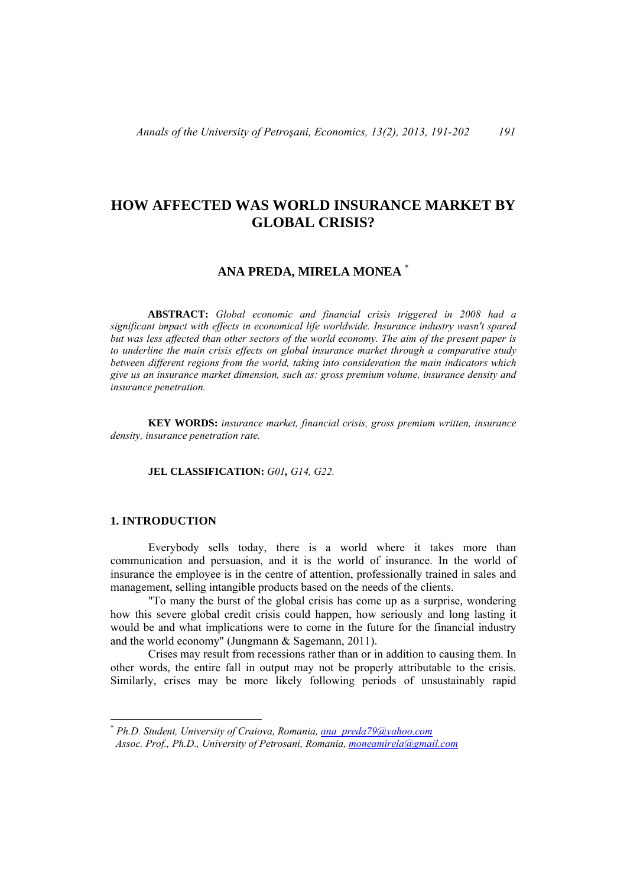# **HOW AFFECTED WAS WORLD INSURANCE MARKET BY GLOBAL CRISIS?**

# **ANA PREDA, MIRELA MONEA** \*

**ABSTRACT:** *Global economic and financial crisis triggered in 2008 had a significant impact with effects in economical life worldwide. Insurance industry wasn't spared but was less affected than other sectors of the world economy. The aim of the present paper is to underline the main crisis effects on global insurance market through a comparative study between different regions from the world, taking into consideration the main indicators which give us an insurance market dimension, such as: gross premium volume, insurance density and insurance penetration.* 

**KEY WORDS:** *insurance market, financial crisis, gross premium written, insurance density, insurance penetration rate.*

# **JEL CLASSIFICATION:** *G01, G14, G22.*

#### **1. INTRODUCTION**

 $\overline{a}$ 

Everybody sells today, there is a world where it takes more than communication and persuasion, and it is the world of insurance. In the world of insurance the employee is in the centre of attention, professionally trained in sales and management, selling intangible products based on the needs of the clients.

"To many the burst of the global crisis has come up as a surprise, wondering how this severe global credit crisis could happen, how seriously and long lasting it would be and what implications were to come in the future for the financial industry and the world economy" (Jungmann & Sagemann, 2011).

Crises may result from recessions rather than or in addition to causing them. In other words, the entire fall in output may not be properly attributable to the crisis. Similarly, crises may be more likely following periods of unsustainably rapid

<sup>\*</sup> *Ph.D. Student, University of Craiova, Romania, ana\_preda79@yahoo.com*

*Assoc. Prof., Ph.D., University of Petrosani, Romania, moneamirela@gmail.com*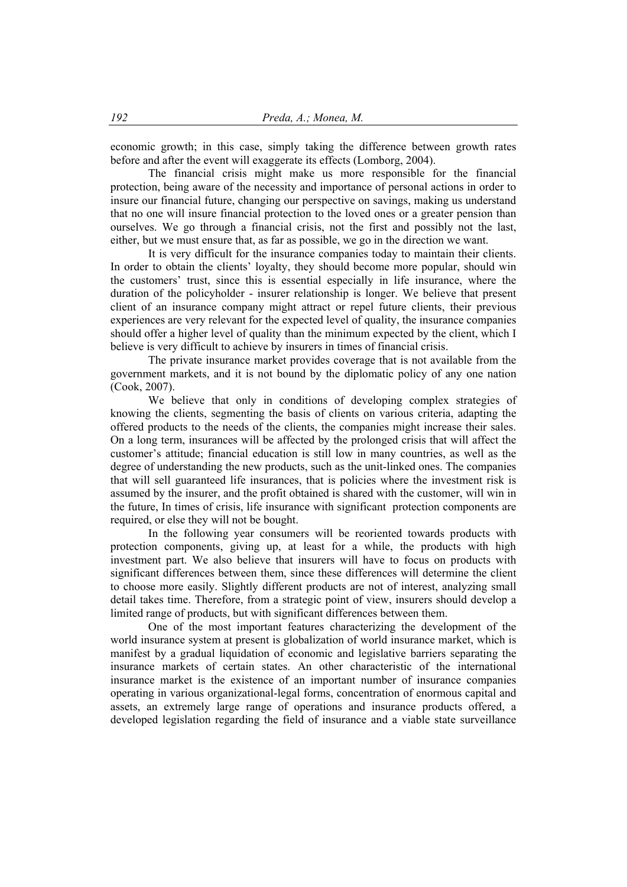economic growth; in this case, simply taking the difference between growth rates before and after the event will exaggerate its effects (Lomborg, 2004).

The financial crisis might make us more responsible for the financial protection, being aware of the necessity and importance of personal actions in order to insure our financial future, changing our perspective on savings, making us understand that no one will insure financial protection to the loved ones or a greater pension than ourselves. We go through a financial crisis, not the first and possibly not the last, either, but we must ensure that, as far as possible, we go in the direction we want.

It is very difficult for the insurance companies today to maintain their clients. In order to obtain the clients' loyalty, they should become more popular, should win the customers' trust, since this is essential especially in life insurance, where the duration of the policyholder - insurer relationship is longer. We believe that present client of an insurance company might attract or repel future clients, their previous experiences are very relevant for the expected level of quality, the insurance companies should offer a higher level of quality than the minimum expected by the client, which I believe is very difficult to achieve by insurers in times of financial crisis.

The private insurance market provides coverage that is not available from the government markets, and it is not bound by the diplomatic policy of any one nation (Cook, 2007).

We believe that only in conditions of developing complex strategies of knowing the clients, segmenting the basis of clients on various criteria, adapting the offered products to the needs of the clients, the companies might increase their sales. On a long term, insurances will be affected by the prolonged crisis that will affect the customer's attitude; financial education is still low in many countries, as well as the degree of understanding the new products, such as the unit-linked ones. The companies that will sell guaranteed life insurances, that is policies where the investment risk is assumed by the insurer, and the profit obtained is shared with the customer, will win in the future, In times of crisis, life insurance with significant protection components are required, or else they will not be bought.

In the following year consumers will be reoriented towards products with protection components, giving up, at least for a while, the products with high investment part. We also believe that insurers will have to focus on products with significant differences between them, since these differences will determine the client to choose more easily. Slightly different products are not of interest, analyzing small detail takes time. Therefore, from a strategic point of view, insurers should develop a limited range of products, but with significant differences between them.

One of the most important features characterizing the development of the world insurance system at present is globalization of world insurance market, which is manifest by a gradual liquidation of economic and legislative barriers separating the insurance markets of certain states. An other characteristic of the international insurance market is the existence of an important number of insurance companies operating in various organizational-legal forms, concentration of enormous capital and assets, an extremely large range of operations and insurance products offered, a developed legislation regarding the field of insurance and a viable state surveillance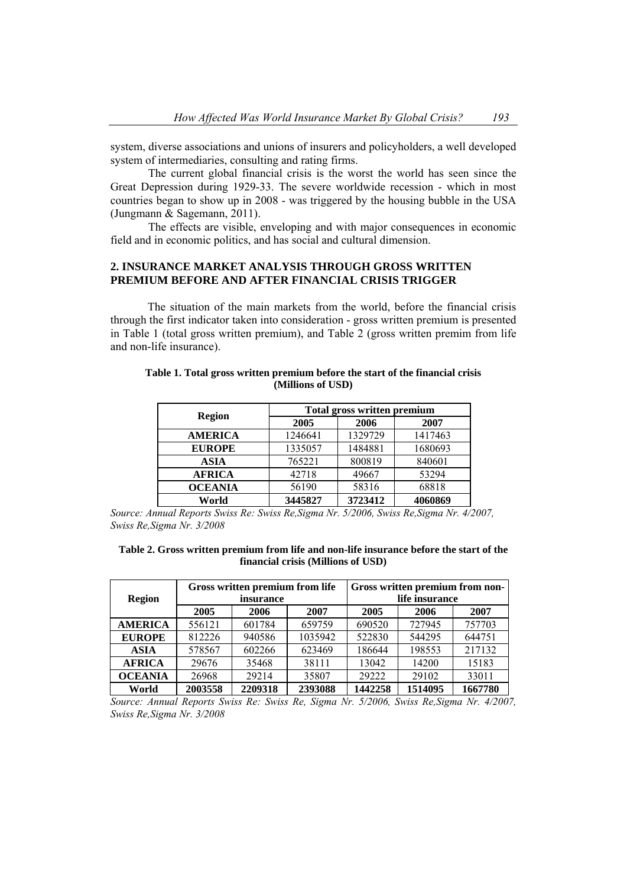system, diverse associations and unions of insurers and policyholders, a well developed system of intermediaries, consulting and rating firms.

The current global financial crisis is the worst the world has seen since the Great Depression during 1929-33. The severe worldwide recession - which in most countries began to show up in 2008 - was triggered by the housing bubble in the USA (Jungmann & Sagemann, 2011).

The effects are visible, enveloping and with major consequences in economic field and in economic politics, and has social and cultural dimension.

# **2. INSURANCE MARKET ANALYSIS THROUGH GROSS WRITTEN PREMIUM BEFORE AND AFTER FINANCIAL CRISIS TRIGGER**

The situation of the main markets from the world, before the financial crisis through the first indicator taken into consideration - gross written premium is presented in Table 1 (total gross written premium), and Table 2 (gross written premim from life and non-life insurance).

| <b>Region</b>  |         | <b>Total gross written premium</b> |         |  |  |  |  |
|----------------|---------|------------------------------------|---------|--|--|--|--|
|                | 2005    | 2006                               | 2007    |  |  |  |  |
| <b>AMERICA</b> | 1246641 | 1329729                            | 1417463 |  |  |  |  |
| <b>EUROPE</b>  | 1335057 | 1484881                            | 1680693 |  |  |  |  |
| <b>ASIA</b>    | 765221  | 800819                             | 840601  |  |  |  |  |
| <b>AFRICA</b>  | 42718   | 49667                              | 53294   |  |  |  |  |
| <b>OCEANIA</b> | 56190   | 58316                              | 68818   |  |  |  |  |
| World          | 3445827 | 3723412                            | 4060869 |  |  |  |  |

#### **Table 1. Total gross written premium before the start of the financial crisis (Millions of USD)**

*Source: Annual Reports Swiss Re: Swiss Re,Sigma Nr. 5/2006, Swiss Re,Sigma Nr. 4/2007, Swiss Re,Sigma Nr. 3/2008*

| Table 2. Gross written premium from life and non-life insurance before the start of the |                                    |  |  |  |
|-----------------------------------------------------------------------------------------|------------------------------------|--|--|--|
|                                                                                         | financial crisis (Millions of USD) |  |  |  |

| <b>Region</b>  |                | Gross written premium from life<br>insurance |         | Gross written premium from non-<br>life insurance |         |         |  |
|----------------|----------------|----------------------------------------------|---------|---------------------------------------------------|---------|---------|--|
|                | 2005           | 2006                                         | 2007    | 2005                                              | 2006    | 2007    |  |
| <b>AMERICA</b> | 556121         | 601784                                       | 659759  | 690520                                            | 727945  | 757703  |  |
| <b>EUROPE</b>  | 812226         | 940586                                       | 1035942 | 522830                                            | 544295  | 644751  |  |
| <b>ASIA</b>    | 578567         | 602266                                       | 623469  | 186644                                            | 198553  | 217132  |  |
| <b>AFRICA</b>  | 29676          | 35468                                        | 38111   | 13042                                             | 14200   | 15183   |  |
| <b>OCEANIA</b> | 29214<br>26968 |                                              | 35807   | 29222                                             | 29102   | 33011   |  |
| World          | 2003558        | 2209318                                      | 2393088 | 1442258                                           | 1514095 | 1667780 |  |

*Source: Annual Reports Swiss Re: Swiss Re, Sigma Nr. 5/2006, Swiss Re,Sigma Nr. 4/2007, Swiss Re,Sigma Nr. 3/2008*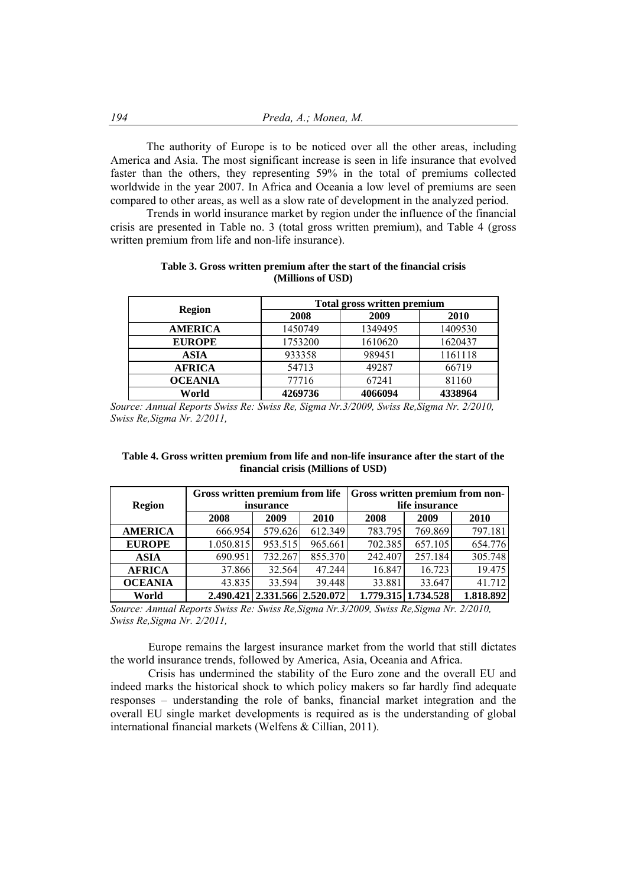The authority of Europe is to be noticed over all the other areas, including America and Asia. The most significant increase is seen in life insurance that evolved faster than the others, they representing 59% in the total of premiums collected worldwide in the year 2007. In Africa and Oceania a low level of premiums are seen compared to other areas, as well as a slow rate of development in the analyzed period.

Trends in world insurance market by region under the influence of the financial crisis are presented in Table no. 3 (total gross written premium), and Table 4 (gross written premium from life and non-life insurance).

|                |         | <b>Total gross written premium</b> |         |  |  |  |  |  |
|----------------|---------|------------------------------------|---------|--|--|--|--|--|
| <b>Region</b>  | 2008    | 2009                               | 2010    |  |  |  |  |  |
| <b>AMERICA</b> | 1450749 | 1349495                            | 1409530 |  |  |  |  |  |
| <b>EUROPE</b>  | 1753200 | 1610620                            | 1620437 |  |  |  |  |  |
| <b>ASIA</b>    | 933358  | 989451                             | 1161118 |  |  |  |  |  |
| <b>AFRICA</b>  | 54713   | 49287                              | 66719   |  |  |  |  |  |
| <b>OCEANIA</b> | 77716   | 67241                              | 81160   |  |  |  |  |  |
| World          | 4269736 | 4066094                            | 4338964 |  |  |  |  |  |

**Table 3. Gross written premium after the start of the financial crisis (Millions of USD)** 

*Source: Annual Reports Swiss Re: Swiss Re, Sigma Nr.3/2009, Swiss Re,Sigma Nr. 2/2010, Swiss Re,Sigma Nr. 2/2011,* 

**Table 4. Gross written premium from life and non-life insurance after the start of the financial crisis (Millions of USD)** 

| <b>Region</b>  | Gross written premium from life | insurance                     |         | <b>Gross written premium from non-</b><br>life insurance |                     |           |  |
|----------------|---------------------------------|-------------------------------|---------|----------------------------------------------------------|---------------------|-----------|--|
|                | 2008                            | 2009                          | 2010    | 2008                                                     | 2009                | 2010      |  |
| <b>AMERICA</b> | 666.954                         | 579.626                       | 612.349 | 783.795                                                  | 769.869             | 797.181   |  |
| <b>EUROPE</b>  | 1.050.815                       | 953.515                       | 965.661 | 702.385                                                  | 657.105             | 654.776   |  |
| <b>ASIA</b>    | 690.951                         | 732.267                       | 855.370 | 242.407                                                  | 257.184             | 305.748   |  |
| <b>AFRICA</b>  | 37.866                          | 32.564                        | 47.244  | 16.847                                                   | 16.723              | 19.475    |  |
| <b>OCEANIA</b> | 43.835                          | 33.594                        | 39.448  | 33.881                                                   | 33.647              | 41.712    |  |
| World          |                                 | 2.490.421 2.331.566 2.520.072 |         |                                                          | 1.779.315 1.734.528 | 1.818.892 |  |

*Source: Annual Reports Swiss Re: Swiss Re,Sigma Nr.3/2009, Swiss Re,Sigma Nr. 2/2010, Swiss Re,Sigma Nr. 2/2011,*

Europe remains the largest insurance market from the world that still dictates the world insurance trends, followed by America, Asia, Oceania and Africa.

Crisis has undermined the stability of the Euro zone and the overall EU and indeed marks the historical shock to which policy makers so far hardly find adequate responses – understanding the role of banks, financial market integration and the overall EU single market developments is required as is the understanding of global international financial markets (Welfens & Cillian, 2011).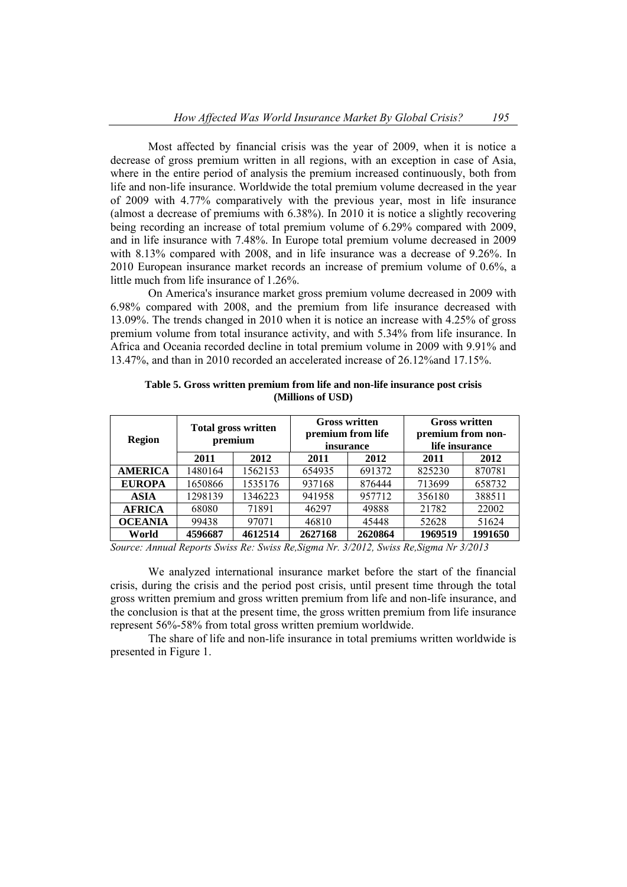Most affected by financial crisis was the year of 2009, when it is notice a decrease of gross premium written in all regions, with an exception in case of Asia, where in the entire period of analysis the premium increased continuously, both from life and non-life insurance. Worldwide the total premium volume decreased in the year of 2009 with 4.77% comparatively with the previous year, most in life insurance (almost a decrease of premiums with 6.38%). In 2010 it is notice a slightly recovering being recording an increase of total premium volume of 6.29% compared with 2009, and in life insurance with 7.48%. In Europe total premium volume decreased in 2009 with 8.13% compared with 2008, and in life insurance was a decrease of 9.26%. In 2010 European insurance market records an increase of premium volume of 0.6%, a little much from life insurance of 1.26%.

On America's insurance market gross premium volume decreased in 2009 with 6.98% compared with 2008, and the premium from life insurance decreased with 13.09%. The trends changed in 2010 when it is notice an increase with 4.25% of gross premium volume from total insurance activity, and with 5.34% from life insurance. In Africa and Oceania recorded decline in total premium volume in 2009 with 9.91% and 13.47%, and than in 2010 recorded an accelerated increase of 26.12%and 17.15%.

| <b>Region</b>  |         | <b>Total gross written</b><br>premium |         | <b>Gross written</b><br>premium from life<br><i>insurance</i> | <b>Gross written</b><br>premium from non-<br>life insurance |         |  |
|----------------|---------|---------------------------------------|---------|---------------------------------------------------------------|-------------------------------------------------------------|---------|--|
|                | 2011    | 2012                                  | 2011    | 2012                                                          | 2011                                                        | 2012    |  |
| <b>AMERICA</b> | 1480164 | 1562153                               | 654935  | 691372                                                        | 825230                                                      | 870781  |  |
| <b>EUROPA</b>  | 1650866 | 1535176                               | 937168  | 876444                                                        | 713699                                                      | 658732  |  |
| <b>ASIA</b>    | 1298139 | 1346223                               | 941958  | 957712                                                        | 356180                                                      | 388511  |  |
| <b>AFRICA</b>  | 68080   | 71891                                 | 46297   | 49888                                                         | 21782                                                       | 22002   |  |
| <b>OCEANIA</b> | 99438   | 97071                                 | 46810   | 45448                                                         | 52628                                                       | 51624   |  |
| World          | 4596687 | 4612514                               | 2627168 | 2620864                                                       | 1969519                                                     | 1991650 |  |

**Table 5. Gross written premium from life and non-life insurance post crisis (Millions of USD)** 

*Source: Annual Reports Swiss Re: Swiss Re,Sigma Nr. 3/2012, Swiss Re,Sigma Nr 3/2013*

We analyzed international insurance market before the start of the financial crisis, during the crisis and the period post crisis, until present time through the total gross written premium and gross written premium from life and non-life insurance, and the conclusion is that at the present time, the gross written premium from life insurance represent 56%-58% from total gross written premium worldwide.

The share of life and non-life insurance in total premiums written worldwide is presented in Figure 1.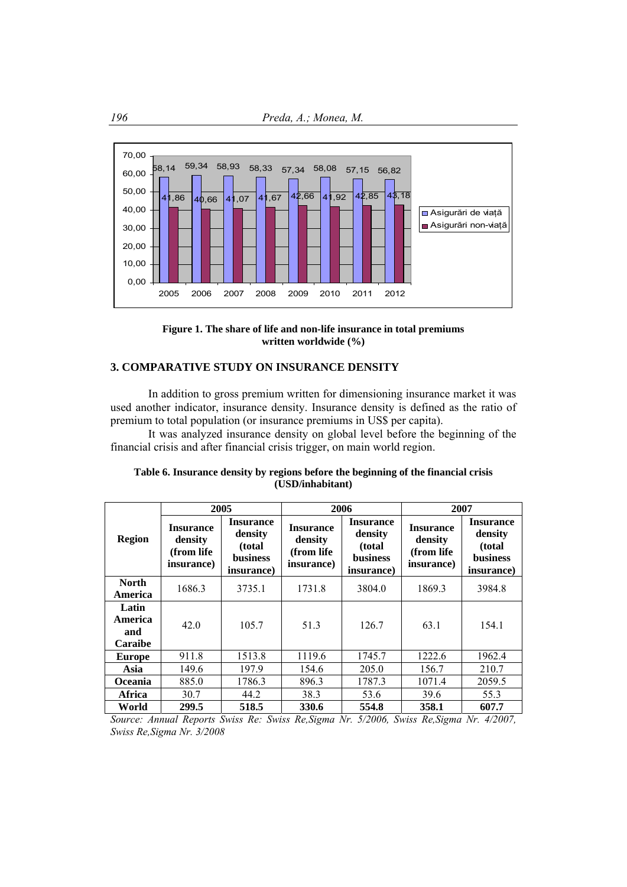



# **3. COMPARATIVE STUDY ON INSURANCE DENSITY**

In addition to gross premium written for dimensioning insurance market it was used another indicator, insurance density. Insurance density is defined as the ratio of premium to total population (or insurance premiums in US\$ per capita).

It was analyzed insurance density on global level before the beginning of the financial crisis and after financial crisis trigger, on main world region.

|                                           | 2005                                                     |                                                                         |                                                         | 2006                                                                    | 2007                                                     |                                                                        |
|-------------------------------------------|----------------------------------------------------------|-------------------------------------------------------------------------|---------------------------------------------------------|-------------------------------------------------------------------------|----------------------------------------------------------|------------------------------------------------------------------------|
| <b>Region</b>                             | <b>Insurance</b><br>density<br>(from life)<br>insurance) | <b>Insurance</b><br>density<br>(total)<br><b>business</b><br>insurance) | <b>Insurance</b><br>density<br>(from life<br>insurance) | <b>Insurance</b><br>density<br>(total)<br><b>business</b><br>insurance) | <b>Insurance</b><br>density<br>(from life)<br>insurance) | <b>Insurance</b><br>density<br>(total<br><b>business</b><br>insurance) |
| <b>North</b><br>America                   | 1686.3                                                   | 3735.1                                                                  | 1731.8                                                  | 3804.0                                                                  | 1869.3                                                   | 3984.8                                                                 |
| Latin<br>America<br>and<br><b>Caraibe</b> | 42.0                                                     | 105.7                                                                   | 51.3                                                    | 126.7                                                                   | 63.1                                                     | 154.1                                                                  |
| <b>Europe</b>                             | 911.8                                                    | 1513.8                                                                  | 1119.6                                                  | 1745.7                                                                  | 1222.6                                                   | 1962.4                                                                 |
| Asia                                      | 149.6                                                    | 197.9                                                                   | 154.6                                                   | 205.0                                                                   | 156.7                                                    | 210.7                                                                  |
| <b>Oceania</b>                            | 885.0                                                    | 1786.3                                                                  | 896.3                                                   | 1787.3                                                                  | 1071.4                                                   | 2059.5                                                                 |
| Africa                                    | 30.7                                                     | 44.2                                                                    | 38.3                                                    | 53.6                                                                    | 39.6                                                     | 55.3                                                                   |
| World                                     | 299.5                                                    | 518.5                                                                   | 330.6                                                   | 554.8                                                                   | 358.1                                                    | 607.7                                                                  |

## **Table 6. Insurance density by regions before the beginning of the financial crisis (USD/inhabitant)**

*Source: Annual Reports Swiss Re: Swiss Re,Sigma Nr. 5/2006, Swiss Re,Sigma Nr. 4/2007, Swiss Re,Sigma Nr. 3/2008*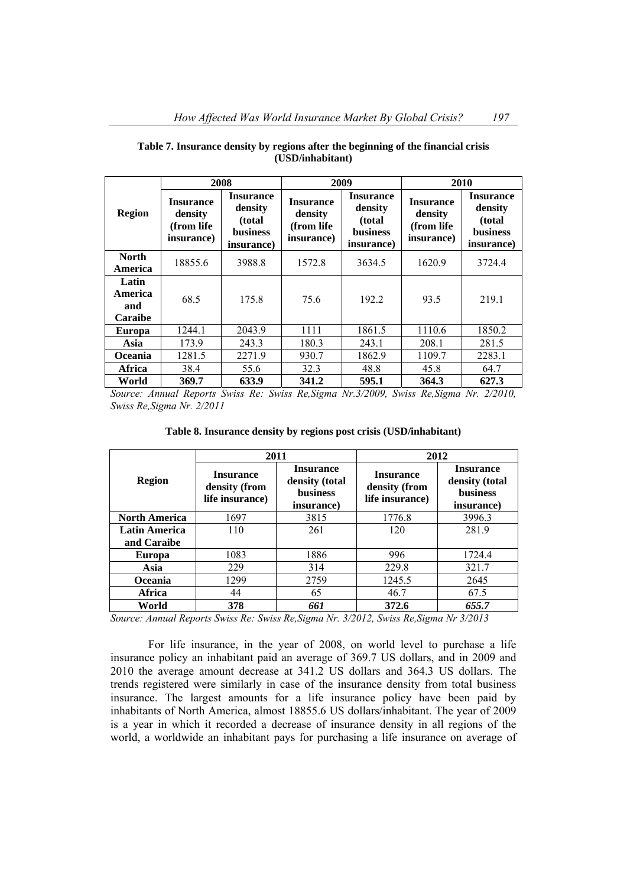|                                    | 2008                                                     |                                                                         | 2009                                                    |                                                                         | 2010                                                     |                                                                  |
|------------------------------------|----------------------------------------------------------|-------------------------------------------------------------------------|---------------------------------------------------------|-------------------------------------------------------------------------|----------------------------------------------------------|------------------------------------------------------------------|
| <b>Region</b>                      | <b>Insurance</b><br>density<br>(from life)<br>insurance) | <b>Insurance</b><br>density<br>(total)<br><b>business</b><br>insurance) | <b>Insurance</b><br>density<br>(from life<br>insurance) | <b>Insurance</b><br>density<br>(total)<br><b>business</b><br>insurance) | <b>Insurance</b><br>density<br>(from life)<br>insurance) | <b>Insurance</b><br>density<br>(total)<br>business<br>insurance) |
| <b>North</b><br>America            | 18855.6                                                  | 3988.8                                                                  | 1572.8                                                  | 3634.5                                                                  | 1620.9                                                   | 3724.4                                                           |
| Latin<br>America<br>and<br>Caraibe | 68.5                                                     | 175.8                                                                   | 75.6                                                    | 192.2                                                                   | 93.5                                                     | 219.1                                                            |
| <b>Europa</b>                      | 1244.1                                                   | 2043.9                                                                  | 1111                                                    | 1861.5                                                                  | 1110.6                                                   | 1850.2                                                           |
| Asia                               | 173.9                                                    | 243.3                                                                   | 180.3                                                   | 243.1                                                                   | 208.1                                                    | 281.5                                                            |
| Oceania                            | 1281.5                                                   | 2271.9                                                                  | 930.7                                                   | 1862.9                                                                  | 1109.7                                                   | 2283.1                                                           |
| Africa                             | 38.4                                                     | 55.6                                                                    | 32.3                                                    | 48.8                                                                    | 45.8                                                     | 64.7                                                             |
| World                              | 369.7                                                    | 633.9                                                                   | 341.2                                                   | 595.1                                                                   | 364.3                                                    | 627.3                                                            |

#### **Table 7. Insurance density by regions after the beginning of the financial crisis (USD/inhabitant)**

*Source: Annual Reports Swiss Re: Swiss Re,Sigma Nr.3/2009, Swiss Re,Sigma Nr. 2/2010, Swiss Re,Sigma Nr. 2/2011*

**Table 8. Insurance density by regions post crisis (USD/inhabitant)** 

|                      |                                                      | 2011                                                                | 2012                                                 |                                                                     |  |
|----------------------|------------------------------------------------------|---------------------------------------------------------------------|------------------------------------------------------|---------------------------------------------------------------------|--|
| <b>Region</b>        | <b>Insurance</b><br>density (from<br>life insurance) | <b>Insurance</b><br>density (total<br><b>business</b><br>insurance) | <b>Insurance</b><br>density (from<br>life insurance) | <b>Insurance</b><br>density (total<br><b>business</b><br>insurance) |  |
| <b>North America</b> | 1697                                                 | 3815                                                                | 1776.8                                               | 3996.3                                                              |  |
| <b>Latin America</b> | 110                                                  | 261                                                                 | 120                                                  | 281.9                                                               |  |
| and Caraibe          |                                                      |                                                                     |                                                      |                                                                     |  |
| <b>Europa</b>        | 1083                                                 | 1886                                                                | 996                                                  | 1724.4                                                              |  |
| Asia                 | 229                                                  | 314                                                                 | 229.8                                                | 321.7                                                               |  |
| <b>Oceania</b>       | 1299                                                 | 2759                                                                | 1245.5                                               | 2645                                                                |  |
| Africa               | 44                                                   | 65                                                                  | 46.7                                                 | 67.5                                                                |  |
| World                | 378                                                  | 661                                                                 | 372.6                                                | 655.7                                                               |  |

*Source: Annual Reports Swiss Re: Swiss Re,Sigma Nr. 3/2012, Swiss Re,Sigma Nr 3/2013* 

For life insurance, in the year of 2008, on world level to purchase a life insurance policy an inhabitant paid an average of 369.7 US dollars, and in 2009 and 2010 the average amount decrease at 341.2 US dollars and 364.3 US dollars. The trends registered were similarly in case of the insurance density from total business insurance. The largest amounts for a life insurance policy have been paid by inhabitants of North America, almost 18855.6 US dollars/inhabitant. The year of 2009 is a year in which it recorded a decrease of insurance density in all regions of the world, a worldwide an inhabitant pays for purchasing a life insurance on average of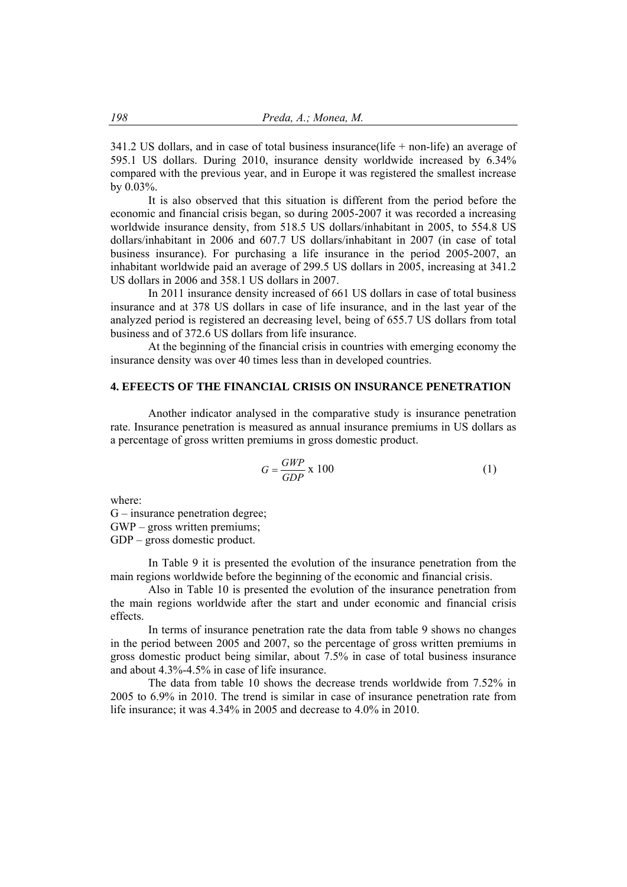341.2 US dollars, and in case of total business insurance(life + non-life) an average of 595.1 US dollars. During 2010, insurance density worldwide increased by 6.34% compared with the previous year, and in Europe it was registered the smallest increase by 0.03%.

It is also observed that this situation is different from the period before the economic and financial crisis began, so during 2005-2007 it was recorded a increasing worldwide insurance density, from 518.5 US dollars/inhabitant in 2005, to 554.8 US dollars/inhabitant in 2006 and 607.7 US dollars/inhabitant in 2007 (in case of total business insurance). For purchasing a life insurance in the period 2005-2007, an inhabitant worldwide paid an average of 299.5 US dollars in 2005, increasing at 341.2 US dollars in 2006 and 358.1 US dollars in 2007.

In 2011 insurance density increased of 661 US dollars in case of total business insurance and at 378 US dollars in case of life insurance, and in the last year of the analyzed period is registered an decreasing level, being of 655.7 US dollars from total business and of 372.6 US dollars from life insurance.

At the beginning of the financial crisis in countries with emerging economy the insurance density was over 40 times less than in developed countries.

## **4. EFEECTS OF THE FINANCIAL CRISIS ON INSURANCE PENETRATION**

Another indicator analysed in the comparative study is insurance penetration rate. Insurance penetration is measured as annual insurance premiums in US dollars as a percentage of gross written premiums in gross domestic product.

$$
G = \frac{GWP}{GDP} \times 100\tag{1}
$$

where:

G – insurance penetration degree;

GWP – gross written premiums;

GDP – gross domestic product.

In Table 9 it is presented the evolution of the insurance penetration from the main regions worldwide before the beginning of the economic and financial crisis.

Also in Table 10 is presented the evolution of the insurance penetration from the main regions worldwide after the start and under economic and financial crisis effects.

In terms of insurance penetration rate the data from table 9 shows no changes in the period between 2005 and 2007, so the percentage of gross written premiums in gross domestic product being similar, about 7.5% in case of total business insurance and about 4.3%-4.5% in case of life insurance.

The data from table 10 shows the decrease trends worldwide from 7.52% in 2005 to 6.9% in 2010. The trend is similar in case of insurance penetration rate from life insurance; it was 4.34% in 2005 and decrease to 4.0% in 2010.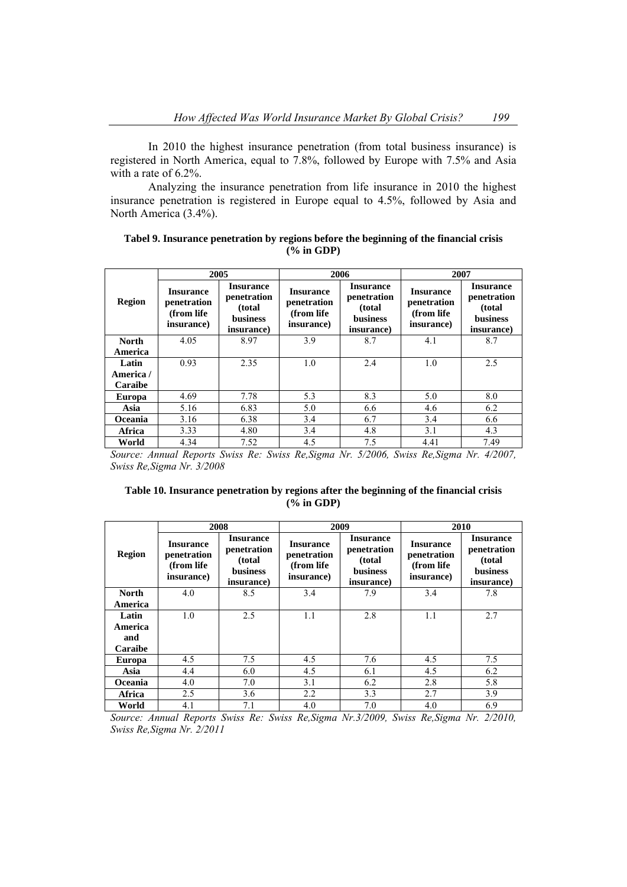In 2010 the highest insurance penetration (from total business insurance) is registered in North America, equal to 7.8%, followed by Europe with 7.5% and Asia with a rate of 6.2%.

Analyzing the insurance penetration from life insurance in 2010 the highest insurance penetration is registered in Europe equal to 4.5%, followed by Asia and North America (3.4%).

|  | Tabel 9. Insurance penetration by regions before the beginning of the financial crisis |              |  |  |  |
|--|----------------------------------------------------------------------------------------|--------------|--|--|--|
|  |                                                                                        | $(%$ in GDP) |  |  |  |

|                |                                                              | 2005                                                                        |                                                              | 2006                                                                        | 2007                                                         |                                                                            |  |
|----------------|--------------------------------------------------------------|-----------------------------------------------------------------------------|--------------------------------------------------------------|-----------------------------------------------------------------------------|--------------------------------------------------------------|----------------------------------------------------------------------------|--|
| <b>Region</b>  | <b>Insurance</b><br>penetration<br>(from life)<br>insurance) | <b>Insurance</b><br>penetration<br>(total)<br><b>business</b><br>insurance) | <b>Insurance</b><br>penetration<br>(from life)<br>insurance) | <b>Insurance</b><br>penetration<br>(total)<br><b>business</b><br>insurance) | <b>Insurance</b><br>penetration<br>(from life)<br>insurance) | <b>Insurance</b><br>penetration<br>(total<br><b>business</b><br>insurance) |  |
| <b>North</b>   | 4.05                                                         | 8.97                                                                        | 3.9                                                          | 8.7                                                                         | 4.1                                                          | 8.7                                                                        |  |
| America        |                                                              |                                                                             |                                                              |                                                                             |                                                              |                                                                            |  |
| Latin          | 0.93                                                         | 2.35                                                                        | 1.0                                                          | 2.4                                                                         | 1.0                                                          | 2.5                                                                        |  |
| America /      |                                                              |                                                                             |                                                              |                                                                             |                                                              |                                                                            |  |
| <b>Caraibe</b> |                                                              |                                                                             |                                                              |                                                                             |                                                              |                                                                            |  |
| <b>Europa</b>  | 4.69                                                         | 7.78                                                                        | 5.3                                                          | 8.3                                                                         | 5.0                                                          | 8.0                                                                        |  |
| Asia           | 5.16                                                         | 6.83                                                                        | 5.0                                                          | 6.6                                                                         | 4.6                                                          | 6.2                                                                        |  |
| Oceania        | 3.16                                                         | 6.38                                                                        | 3.4                                                          | 6.7                                                                         | 3.4                                                          | 6.6                                                                        |  |
| Africa         | 3.33                                                         | 4.80                                                                        | 3.4                                                          | 4.8                                                                         | 3.1                                                          | 4.3                                                                        |  |
| World          | 4.34                                                         | 7.52                                                                        | 4.5                                                          | 7.5                                                                         | 4.41                                                         | 7.49                                                                       |  |

*Source: Annual Reports Swiss Re: Swiss Re,Sigma Nr. 5/2006, Swiss Re,Sigma Nr. 4/2007, Swiss Re,Sigma Nr. 3/2008*

## **Table 10. Insurance penetration by regions after the beginning of the financial crisis (% in GDP)**

|                |                                                              | 2008                                                                       | 2009                                                         |                                                                             | 2010                                                         |                                                                            |  |
|----------------|--------------------------------------------------------------|----------------------------------------------------------------------------|--------------------------------------------------------------|-----------------------------------------------------------------------------|--------------------------------------------------------------|----------------------------------------------------------------------------|--|
| Region         | <b>Insurance</b><br>penetration<br>(from life)<br>insurance) | <b>Insurance</b><br>penetration<br>(total<br><b>business</b><br>insurance) | <b>Insurance</b><br>penetration<br>(from life)<br>insurance) | <b>Insurance</b><br>penetration<br>(total)<br><b>business</b><br>insurance) | <b>Insurance</b><br>penetration<br>(from life)<br>insurance) | <b>Insurance</b><br>penetration<br>(total<br><b>business</b><br>insurance) |  |
| <b>North</b>   | 4.0                                                          | 8.5                                                                        | 3.4                                                          | 7.9                                                                         | 3.4                                                          | 7.8                                                                        |  |
| America        |                                                              |                                                                            |                                                              |                                                                             |                                                              |                                                                            |  |
| Latin          | 1.0                                                          | 2.5                                                                        | 1.1                                                          | 2.8                                                                         | 1.1                                                          | 2.7                                                                        |  |
| America        |                                                              |                                                                            |                                                              |                                                                             |                                                              |                                                                            |  |
| and            |                                                              |                                                                            |                                                              |                                                                             |                                                              |                                                                            |  |
| <b>Caraibe</b> |                                                              |                                                                            |                                                              |                                                                             |                                                              |                                                                            |  |
| Europa         | 4.5                                                          | 7.5                                                                        | 4.5                                                          | 7.6                                                                         | 4.5                                                          | 7.5                                                                        |  |
| Asia           | 4.4                                                          | 6.0                                                                        | 4.5                                                          | 6.1                                                                         | 4.5                                                          | 6.2                                                                        |  |
| <b>Oceania</b> | 4.0                                                          | 7.0                                                                        | 3.1                                                          | 6.2                                                                         | 2.8                                                          | 5.8                                                                        |  |
| Africa         | 2.5                                                          | 3.6                                                                        | 2.2                                                          | 3.3                                                                         | 2.7                                                          | 3.9                                                                        |  |
| World          | 4.1                                                          | 7.1                                                                        | 4.0                                                          | 7.0                                                                         | 4.0                                                          | 6.9                                                                        |  |

*Source: Annual Reports Swiss Re: Swiss Re,Sigma Nr.3/2009, Swiss Re,Sigma Nr. 2/2010, Swiss Re,Sigma Nr. 2/2011*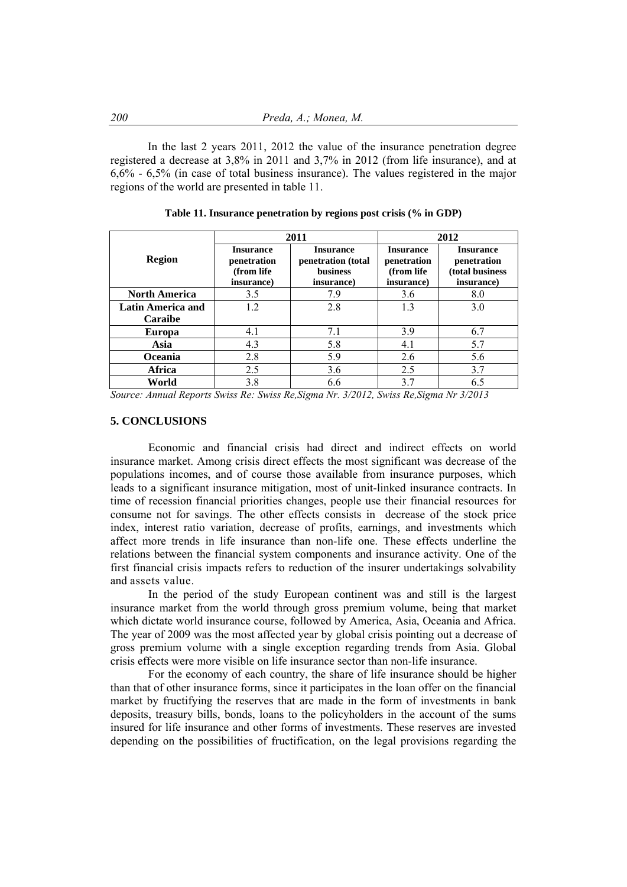In the last 2 years 2011, 2012 the value of the insurance penetration degree registered a decrease at 3,8% in 2011 and 3,7% in 2012 (from life insurance), and at 6,6% - 6,5% (in case of total business insurance). The values registered in the major regions of the world are presented in table 11.

|                          | 2011                                                        |                                                                         | 2012                                                         |                                                                  |
|--------------------------|-------------------------------------------------------------|-------------------------------------------------------------------------|--------------------------------------------------------------|------------------------------------------------------------------|
| <b>Region</b>            | <b>Insurance</b><br>penetration<br>(from life<br>insurance) | <b>Insurance</b><br>penetration (total<br><b>business</b><br>insurance) | <b>Insurance</b><br>penetration<br>(from life)<br>insurance) | <b>Insurance</b><br>penetration<br>(total business<br>insurance) |
| <b>North America</b>     | 3.5                                                         | 7.9                                                                     | 3.6                                                          | 8.0                                                              |
| <b>Latin America and</b> | 1.2                                                         | 2.8                                                                     | 1.3                                                          | 3.0                                                              |
| Caraibe                  |                                                             |                                                                         |                                                              |                                                                  |
| <b>Europa</b>            | 4.1                                                         | 7.1                                                                     | 3.9                                                          | 6.7                                                              |
| Asia                     | 4.3                                                         | 5.8                                                                     | 4.1                                                          | 5.7                                                              |
| <b>Oceania</b>           | 2.8                                                         | 5.9                                                                     | 2.6                                                          | 5.6                                                              |
| Africa                   | 2.5                                                         | 3.6                                                                     | 2.5                                                          | 3.7                                                              |
| World                    | 3.8                                                         | 6.6                                                                     | 3.7                                                          | 6.5                                                              |

**Table 11. Insurance penetration by regions post crisis (% in GDP)**

*Source: Annual Reports Swiss Re: Swiss Re,Sigma Nr. 3/2012, Swiss Re,Sigma Nr 3/2013*

## **5. CONCLUSIONS**

Economic and financial crisis had direct and indirect effects on world insurance market. Among crisis direct effects the most significant was decrease of the populations incomes, and of course those available from insurance purposes, which leads to a significant insurance mitigation, most of unit-linked insurance contracts. In time of recession financial priorities changes, people use their financial resources for consume not for savings. The other effects consists in decrease of the stock price index, interest ratio variation, decrease of profits, earnings, and investments which affect more trends in life insurance than non-life one. These effects underline the relations between the financial system components and insurance activity. One of the first financial crisis impacts refers to reduction of the insurer undertakings solvability and assets value.

In the period of the study European continent was and still is the largest insurance market from the world through gross premium volume, being that market which dictate world insurance course, followed by America, Asia, Oceania and Africa. The year of 2009 was the most affected year by global crisis pointing out a decrease of gross premium volume with a single exception regarding trends from Asia. Global crisis effects were more visible on life insurance sector than non-life insurance.

For the economy of each country, the share of life insurance should be higher than that of other insurance forms, since it participates in the loan offer on the financial market by fructifying the reserves that are made in the form of investments in bank deposits, treasury bills, bonds, loans to the policyholders in the account of the sums insured for life insurance and other forms of investments. These reserves are invested depending on the possibilities of fructification, on the legal provisions regarding the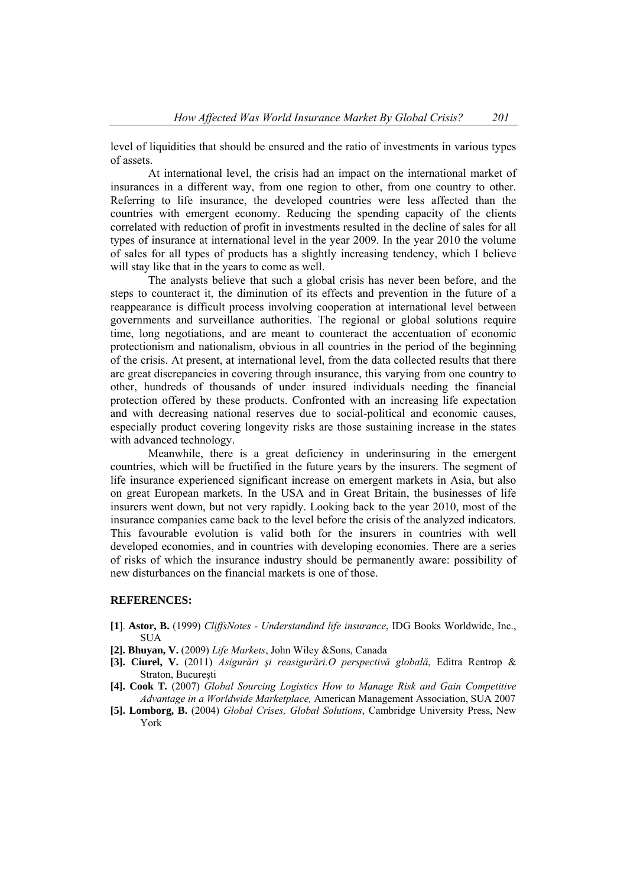level of liquidities that should be ensured and the ratio of investments in various types of assets.

At international level, the crisis had an impact on the international market of insurances in a different way, from one region to other, from one country to other. Referring to life insurance, the developed countries were less affected than the countries with emergent economy. Reducing the spending capacity of the clients correlated with reduction of profit in investments resulted in the decline of sales for all types of insurance at international level in the year 2009. In the year 2010 the volume of sales for all types of products has a slightly increasing tendency, which I believe will stay like that in the years to come as well.

The analysts believe that such a global crisis has never been before, and the steps to counteract it, the diminution of its effects and prevention in the future of a reappearance is difficult process involving cooperation at international level between governments and surveillance authorities. The regional or global solutions require time, long negotiations, and are meant to counteract the accentuation of economic protectionism and nationalism, obvious in all countries in the period of the beginning of the crisis. At present, at international level, from the data collected results that there are great discrepancies in covering through insurance, this varying from one country to other, hundreds of thousands of under insured individuals needing the financial protection offered by these products. Confronted with an increasing life expectation and with decreasing national reserves due to social-political and economic causes, especially product covering longevity risks are those sustaining increase in the states with advanced technology.

Meanwhile, there is a great deficiency in underinsuring in the emergent countries, which will be fructified in the future years by the insurers. The segment of life insurance experienced significant increase on emergent markets in Asia, but also on great European markets. In the USA and in Great Britain, the businesses of life insurers went down, but not very rapidly. Looking back to the year 2010, most of the insurance companies came back to the level before the crisis of the analyzed indicators. This favourable evolution is valid both for the insurers in countries with well developed economies, and in countries with developing economies. There are a series of risks of which the insurance industry should be permanently aware: possibility of new disturbances on the financial markets is one of those.

#### **REFERENCES:**

- **[1**]. **Astor, B.** (1999) *CliffsNotes Understandind life insurance*, IDG Books Worldwide, Inc., **SUA**
- **[2]. Bhuyan, V.** (2009) *Life Markets*, John Wiley &Sons, Canada
- **[3]. Ciurel, V.** (2011) *Asigurări şi reasigurări.O perspectivă globală*, Editra Rentrop & Straton, Bucureşti
- **[4]. Cook T***.* (2007) *Global Sourcing Logistics How to Manage Risk and Gain Competitive Advantage in a Worldwide Marketplace,* American Management Association, SUA 2007
- **[5]. Lomborg, B.** (2004) *Global Crises, Global Solutions*, Cambridge University Press, New York